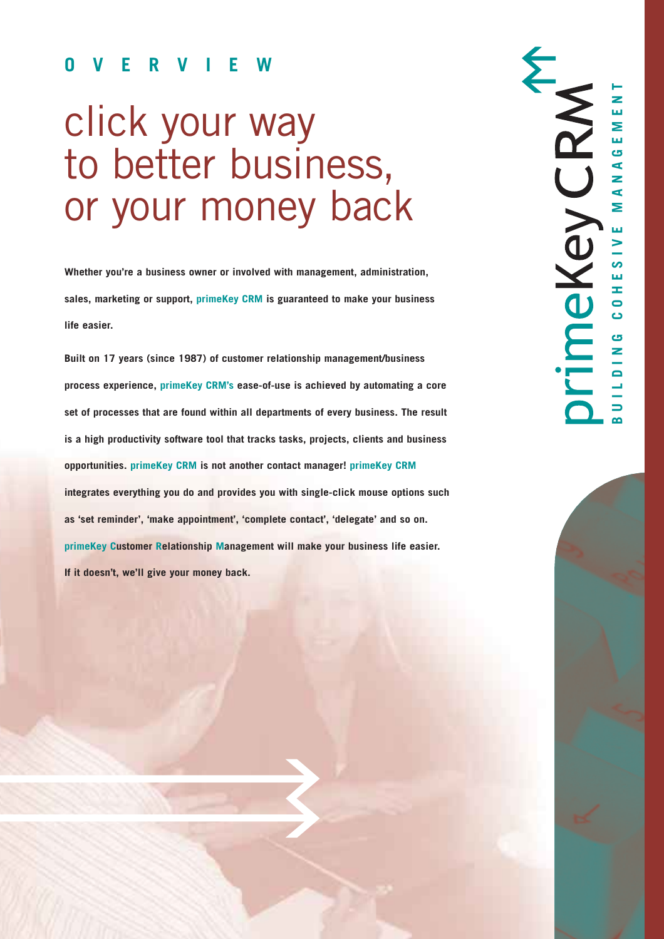# **OVERVIEW**

# click your way to better business, or your money back

**Whether you're a business owner or involved with management, administration, sales, marketing or support, primeKey CRM is guaranteed to make your business life easier.** 

**Built on 17 years (since 1987) of customer relationship management/business process experience, primeKey CRM's ease-of-use is achieved by automating a core set of processes that are found within all departments of every business. The result is a high productivity software tool that tracks tasks, projects, clients and business opportunities. primeKey CRM is not another contact manager! primeKey CRM integrates everything you do and provides you with single-click mouse options such as 'set reminder', 'make appointment', 'complete contact', 'delegate' and so on. primeKey Customer Relationship Management will make your business life easier. If it doesn't, we'll give your money back.**